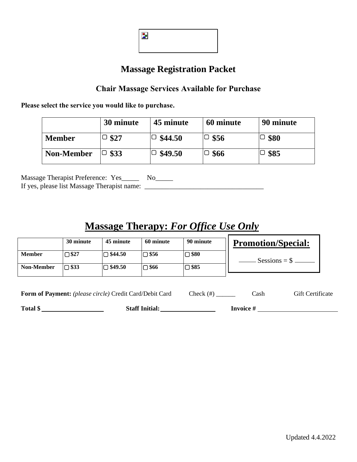

# **Massage Registration Packet**

**Chair Massage Services Available for Purchase**

**Please select the service you would like to purchase.**

|                   | 30 minute       | 45 minute | 60 minute                     | 90 minute |
|-------------------|-----------------|-----------|-------------------------------|-----------|
| <b>Member</b>     | $\frac{1}{327}$ | \$44.50   | $\Box$ \$56                   | \$80      |
| <b>Non-Member</b> | \$33            | \$49.50   | $\overline{\phantom{0}}$ \$66 | \$85      |

Massage Therapist Preference: Yes\_\_\_\_\_\_ No\_\_\_\_\_ If yes, please list Massage Therapist name: \_\_\_\_\_\_\_\_\_\_\_\_\_\_\_\_\_\_\_\_\_\_\_\_\_\_\_\_\_\_\_\_\_\_

# **Massage Therapy:** *For Office Use Only*

|                                                         | 30 minute      | 45 minute      | 60 minute   | 90 minute   | <b>Promotion/Special:</b> |                         |  |
|---------------------------------------------------------|----------------|----------------|-------------|-------------|---------------------------|-------------------------|--|
| <b>Member</b>                                           | $\bigcup$ \$27 | $\Box$ \$44.50 | $\Box$ \$56 | $\Box$ \$80 | $Sessions = $$            |                         |  |
| Non-Member                                              | $\Box$ \$33    | $\Box$ \$49.50 | $\Box$ \$66 | $\Box$ \$85 |                           |                         |  |
| Form of Payment: (please circle) Credit Card/Debit Card |                |                |             |             | Cash                      | <b>Gift Certificate</b> |  |
| $Total \$$                                              |                |                |             |             | Invoice #                 |                         |  |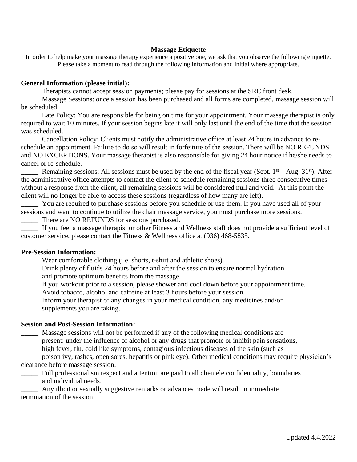### **Massage Etiquette**

In order to help make your massage therapy experience a positive one, we ask that you observe the following etiquette. Please take a moment to read through the following information and initial where appropriate.

#### **General Information (please initial):**

\_\_\_\_\_ Therapists cannot accept session payments; please pay for sessions at the SRC front desk.

\_\_\_\_\_ Massage Sessions: once a session has been purchased and all forms are completed, massage session will be scheduled.

\_\_\_\_\_ Late Policy: You are responsible for being on time for your appointment. Your massage therapist is only required to wait 10 minutes. If your session begins late it will only last until the end of the time that the session was scheduled.

\_\_\_\_\_ Cancellation Policy: Clients must notify the administrative office at least 24 hours in advance to reschedule an appointment. Failure to do so will result in forfeiture of the session. There will be NO REFUNDS and NO EXCEPTIONS. Your massage therapist is also responsible for giving 24 hour notice if he/she needs to cancel or re-schedule.

**Example 1** Remaining sessions: All sessions must be used by the end of the fiscal year (Sept.  $1<sup>st</sup> - Aug. 31<sup>st</sup>$ ). After the administrative office attempts to contact the client to schedule remaining sessions three consecutive times without a response from the client, all remaining sessions will be considered null and void. At this point the client will no longer be able to access these sessions (regardless of how many are left).

You are required to purchase sessions before you schedule or use them. If you have used all of your sessions and want to continue to utilize the chair massage service, you must purchase more sessions.

\_\_\_\_\_ There are NO REFUNDS for sessions purchased.

If you feel a massage therapist or other Fitness and Wellness staff does not provide a sufficient level of customer service, please contact the Fitness & Wellness office at (936) 468-5835.

#### **Pre-Session Information:**

- \_\_\_\_\_ Wear comfortable clothing (i.e. shorts, t-shirt and athletic shoes).
- \_\_\_\_\_ Drink plenty of fluids 24 hours before and after the session to ensure normal hydration and promote optimum benefits from the massage.
- \_\_\_\_\_ If you workout prior to a session, please shower and cool down before your appointment time.
- \_\_\_\_\_ Avoid tobacco, alcohol and caffeine at least 3 hours before your session.
- \_\_\_\_\_ Inform your therapist of any changes in your medical condition, any medicines and/or supplements you are taking.

### **Session and Post-Session Information:**

\_\_\_\_\_ Massage sessions will not be performed if any of the following medical conditions are present: under the influence of alcohol or any drugs that promote or inhibit pain sensations, high fever, flu, cold like symptoms, contagious infectious diseases of the skin (such as

 poison ivy, rashes, open sores, hepatitis or pink eye). Other medical conditions may require physician's clearance before massage session.

\_\_\_\_\_ Full professionalism respect and attention are paid to all clientele confidentiality, boundaries and individual needs.

\_\_\_\_\_ Any illicit or sexually suggestive remarks or advances made will result in immediate termination of the session.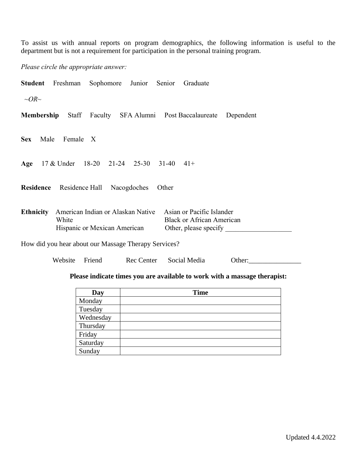To assist us with annual reports on program demographics, the following information is useful to the department but is not a requirement for participation in the personal training program.

*Please circle the appropriate answer:*

| <b>Student</b>     | Freshman       | Sophomore Junior Senior Graduate                                  |                                                                                        |           |
|--------------------|----------------|-------------------------------------------------------------------|----------------------------------------------------------------------------------------|-----------|
| $\sim$ OR $\sim$   |                |                                                                   |                                                                                        |           |
|                    |                | <b>Membership</b> Staff Faculty SFA Alumni Post Baccalaureate     |                                                                                        | Dependent |
| Male<br><b>Sex</b> | Female X       |                                                                   |                                                                                        |           |
|                    |                | Age $17 & \text{Under}$ 18-20 21-24 25-30 31-40 41+               |                                                                                        |           |
| Residence          | Residence Hall | Nacogdoches                                                       | Other                                                                                  |           |
| <b>Ethnicity</b>   | White          | American Indian or Alaskan Native<br>Hispanic or Mexican American | Asian or Pacific Islander<br><b>Black or African American</b><br>Other, please specify |           |
|                    |                | How did you hear about our Massage Therapy Services?              |                                                                                        |           |

Website Friend Rec Center Social Media Other: Chemical Media Other:

# **Please indicate times you are available to work with a massage therapist:**

| Day       | <b>Time</b> |
|-----------|-------------|
| Monday    |             |
| Tuesday   |             |
| Wednesday |             |
| Thursday  |             |
| Friday    |             |
| Saturday  |             |
| Sunday    |             |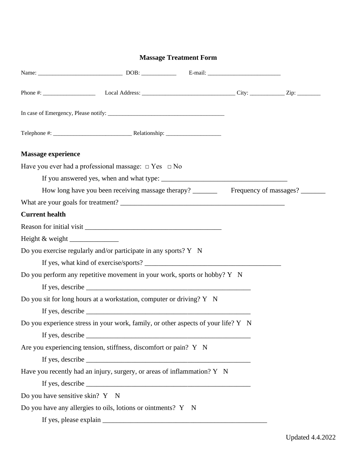# **Massage Treatment Form**

| <b>Massage experience</b>       |                                                                                   |  |  |
|---------------------------------|-----------------------------------------------------------------------------------|--|--|
|                                 | Have you ever had a professional massage: $\Box$ Yes $\Box$ No                    |  |  |
|                                 |                                                                                   |  |  |
|                                 |                                                                                   |  |  |
|                                 |                                                                                   |  |  |
| <b>Current health</b>           |                                                                                   |  |  |
|                                 |                                                                                   |  |  |
|                                 |                                                                                   |  |  |
|                                 | Do you exercise regularly and/or participate in any sports? $Y \ N$               |  |  |
|                                 |                                                                                   |  |  |
|                                 | Do you perform any repetitive movement in your work, sports or hobby? Y N         |  |  |
|                                 | If yes, describe $\overline{\phantom{a}}$                                         |  |  |
|                                 | Do you sit for long hours at a workstation, computer or driving? Y N              |  |  |
|                                 | If yes, describe $\overline{\phantom{a}}$                                         |  |  |
|                                 | Do you experience stress in your work, family, or other aspects of your life? Y N |  |  |
|                                 | If yes, describe $\_\_$                                                           |  |  |
|                                 | Are you experiencing tension, stiffness, discomfort or pain? Y N                  |  |  |
|                                 | If yes, describe $\overline{\phantom{a}}$                                         |  |  |
|                                 | Have you recently had an injury, surgery, or areas of inflammation? Y N           |  |  |
|                                 |                                                                                   |  |  |
| Do you have sensitive skin? Y N |                                                                                   |  |  |
|                                 | Do you have any allergies to oils, lotions or ointments? Y N                      |  |  |
|                                 |                                                                                   |  |  |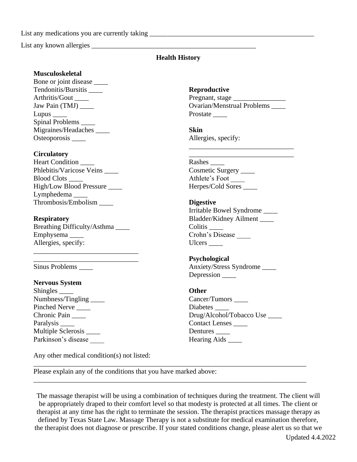List any medications you are currently taking

List any known allergies

#### **Health History**

#### **Musculoskeletal**

Bone or joint disease \_\_\_\_ Tendonitis/Bursitis \_\_\_\_ Arthritis/Gout \_\_\_\_ Jaw Pain (TMJ) \_\_\_\_ Lupus  $\_\_$ Spinal Problems \_\_\_\_ Migraines/Headaches \_\_\_\_ Osteoporosis \_\_\_\_

#### **Circulatory**

Heart Condition \_\_\_\_ Phlebitis/Varicose Veins \_\_\_\_ Blood Clots \_\_\_\_ High/Low Blood Pressure \_\_\_\_ Lymphedema Thrombosis/Embolism \_\_\_\_

#### **Respiratory**

Breathing Difficulty/Asthma \_\_\_\_ Emphysema \_\_\_\_ Allergies, specify:

\_\_\_\_\_\_\_\_\_\_\_\_\_\_\_\_\_\_\_\_\_\_\_\_\_\_\_\_\_\_ \_\_\_\_\_\_\_\_\_\_\_\_\_\_\_\_\_\_\_\_\_\_\_\_\_\_\_\_\_\_

#### Sinus Problems \_\_\_\_

#### **Nervous System**

Shingles \_\_\_\_ Numbness/Tingling \_\_\_\_ Pinched Nerve \_\_\_\_\_\_ Chronic Pain Paralysis \_\_\_\_\_\_\_ Multiple Sclerosis \_\_\_\_ Parkinson's disease

Any other medical condition(s) not listed:

**Reproductive** 

Pregnant, stage Ovarian/Menstrual Problems \_\_\_\_ Prostate \_\_\_\_\_\_\_\_

\_\_\_\_\_\_\_\_\_\_\_\_\_\_\_\_\_\_\_\_\_\_\_\_\_\_\_\_\_\_

**Skin**  Allergies, specify:

\_\_\_\_\_\_\_\_\_\_\_\_\_\_\_\_\_\_\_\_\_\_\_\_\_\_\_\_\_\_ Rashes  $\overline{a}$ Cosmetic Surgery \_\_\_\_ Athlete's Foot \_\_\_\_ Herpes/Cold Sores \_\_\_\_

#### **Digestive**

Irritable Bowel Syndrome \_\_\_\_ Bladder/Kidney Ailment \_\_\_\_ Colitis \_\_\_\_ Crohn's Disease \_\_\_\_ Ulcers \_\_\_\_

**Psychological**  Anxiety/Stress Syndrome \_\_\_\_ Depression \_\_\_\_\_\_

**Other**  Cancer/Tumors \_\_\_\_ Diabetes Drug/Alcohol/Tobacco Use \_\_\_\_ Contact Lenses \_\_\_\_ Dentures \_\_\_\_\_\_ Hearing Aids \_\_\_\_\_\_

Please explain any of the conditions that you have marked above:

The massage therapist will be using a combination of techniques during the treatment. The client will be appropriately draped to their comfort level so that modesty is protected at all times. The client or therapist at any time has the right to terminate the session. The therapist practices massage therapy as defined by Texas State Law. Massage Therapy is not a substitute for medical examination therefore, the therapist does not diagnose or prescribe. If your stated conditions change, please alert us so that we

\_\_\_\_\_\_\_\_\_\_\_\_\_\_\_\_\_\_\_\_\_\_\_\_\_\_\_\_\_\_\_\_\_\_\_\_\_\_\_\_\_\_\_\_\_\_\_\_\_\_\_\_\_\_\_\_\_\_\_\_\_\_\_\_\_\_\_\_\_\_\_\_\_\_\_\_\_\_

\_\_\_\_\_\_\_\_\_\_\_\_\_\_\_\_\_\_\_\_\_\_\_\_\_\_\_\_\_\_\_\_\_\_\_\_\_\_\_\_\_\_\_\_\_\_\_\_\_\_\_\_\_\_\_\_\_\_\_\_\_\_\_\_\_\_\_\_\_\_\_\_\_\_\_\_\_\_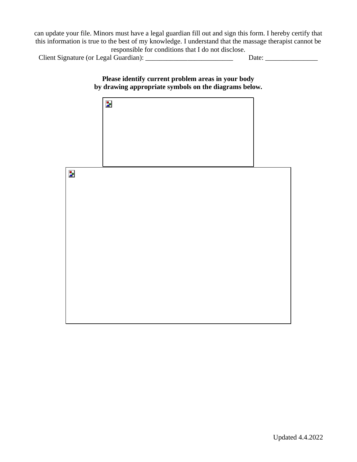can update your file. Minors must have a legal guardian fill out and sign this form. I hereby certify that this information is true to the best of my knowledge. I understand that the massage therapist cannot be responsible for conditions that I do not disclose.

Client Signature (or Legal Guardian): \_\_\_\_\_\_\_\_\_\_\_\_\_\_\_\_\_\_\_\_\_\_\_\_\_ Date: \_\_\_\_\_\_\_\_\_\_\_\_\_\_\_

## **Please identify current problem areas in your body by drawing appropriate symbols on the diagrams below.**